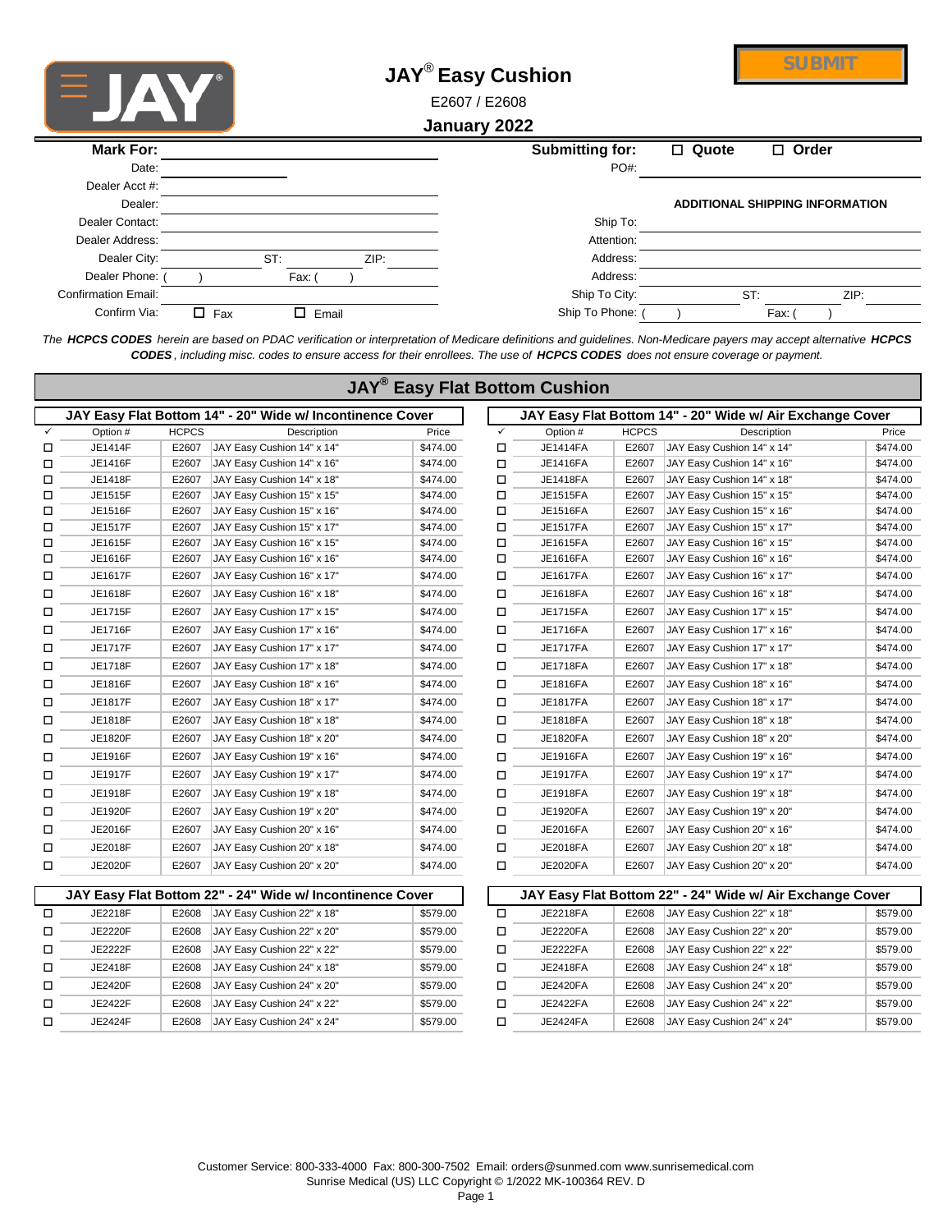

 $\overline{\mathsf{I}}$ 

## **JAY**® **Easy Cushion**

**SUBMIT**

E2607 / E2608

## **January 2022**

| <b>Mark For:</b>           |            |             |      | <b>Submitting for:</b> | $\Box$ Quote                           | $\Box$ Order |      |
|----------------------------|------------|-------------|------|------------------------|----------------------------------------|--------------|------|
| Date:                      |            |             |      | PO#:                   |                                        |              |      |
| Dealer Acct #:             |            |             |      |                        |                                        |              |      |
| Dealer:                    |            |             |      |                        | <b>ADDITIONAL SHIPPING INFORMATION</b> |              |      |
| Dealer Contact:            |            |             |      | Ship To:               |                                        |              |      |
| Dealer Address:            |            |             |      | Attention:             |                                        |              |      |
| Dealer City:               |            | ST:         | ZIP: | Address:               |                                        |              |      |
| Dealer Phone:              |            | Fax:        |      | Address:               |                                        |              |      |
| <b>Confirmation Email:</b> |            |             |      | Ship To City:          | ST:                                    |              | ZIP: |
| Confirm Via:               | $\Box$ Fax | П.<br>Email |      | Ship To Phone:         |                                        | Fax:         |      |

*The HCPCS CODES herein are based on PDAC verification or interpretation of Medicare definitions and guidelines. Non-Medicare payers may accept alternative HCPCS CODES , including misc. codes to ensure access for their enrollees. The use of HCPCS CODES does not ensure coverage or payment.*

 $\overline{\mathbb{R}}$   $\overline{\mathbb{R}}$   $\overline{\mathbb{R}}$ 

|              |          |              |                                                           | <b>JAY<sup>®</sup> Easy Flat Bottom Cushion</b> |        |                 |              |                                                           |          |
|--------------|----------|--------------|-----------------------------------------------------------|-------------------------------------------------|--------|-----------------|--------------|-----------------------------------------------------------|----------|
|              |          |              | JAY Easy Flat Bottom 14" - 20" Wide w/ Incontinence Cover |                                                 |        |                 |              | JAY Easy Flat Bottom 14" - 20" Wide w/ Air Exchange Cover |          |
| $\checkmark$ | Option # | <b>HCPCS</b> | Description                                               | Price                                           | ✓      | Option #        | <b>HCPCS</b> | Description                                               | Price    |
| □            | JE1414F  | E2607        | JAY Easy Cushion 14" x 14"                                | \$474.00                                        | □      | JE1414FA        | E2607        | JAY Easy Cushion 14" x 14"                                | \$474.00 |
| □            | JE1416F  | E2607        | JAY Easy Cushion 14" x 16"                                | \$474.00                                        | $\Box$ | JE1416FA        | E2607        | JAY Easy Cushion 14" x 16"                                | \$474.00 |
| □            | JE1418F  | E2607        | JAY Easy Cushion 14" x 18"                                | \$474.00                                        | □      | JE1418FA        | E2607        | JAY Easy Cushion 14" x 18"                                | \$474.00 |
| □            | JE1515F  | E2607        | JAY Easy Cushion 15" x 15"                                | \$474.00                                        | □      | JE1515FA        | E2607        | JAY Easy Cushion 15" x 15"                                | \$474.00 |
| □            | JE1516F  | E2607        | JAY Easy Cushion 15" x 16"                                | \$474.00                                        | □      | JE1516FA        | E2607        | JAY Easy Cushion 15" x 16"                                | \$474.00 |
| □            | JE1517F  | E2607        | JAY Easy Cushion 15" x 17"                                | \$474.00                                        | □      | <b>JE1517FA</b> | E2607        | JAY Easy Cushion 15" x 17"                                | \$474.00 |
| □            | JE1615F  | E2607        | JAY Easy Cushion 16" x 15"                                | \$474.00                                        | □      | JE1615FA        | E2607        | JAY Easy Cushion 16" x 15"                                | \$474.00 |
| □            | JE1616F  | E2607        | JAY Easy Cushion 16" x 16"                                | \$474.00                                        | □      | JE1616FA        | E2607        | JAY Easy Cushion 16" x 16"                                | \$474.00 |
| □            | JE1617F  | E2607        | JAY Easy Cushion 16" x 17"                                | \$474.00                                        | □      | <b>JE1617FA</b> | E2607        | JAY Easy Cushion 16" x 17"                                | \$474.00 |
| □            | JE1618F  | E2607        | JAY Easy Cushion 16" x 18"                                | \$474.00                                        | □      | JE1618FA        | E2607        | JAY Easy Cushion 16" x 18"                                | \$474.00 |
| □            | JE1715F  | E2607        | JAY Easy Cushion 17" x 15"                                | \$474.00                                        | □      | JE1715FA        | E2607        | JAY Easy Cushion 17" x 15"                                | \$474.00 |
| □            | JE1716F  | E2607        | JAY Easy Cushion 17" x 16"                                | \$474.00                                        | □      | JE1716FA        | E2607        | JAY Easy Cushion 17" x 16"                                | \$474.00 |
| □            | JE1717F  | E2607        | JAY Easy Cushion 17" x 17"                                | \$474.00                                        | □      | <b>JE1717FA</b> | E2607        | JAY Easy Cushion 17" x 17"                                | \$474.00 |
| □            | JE1718F  | E2607        | JAY Easy Cushion 17" x 18"                                | \$474.00                                        | □      | JE1718FA        | E2607        | JAY Easy Cushion 17" x 18"                                | \$474.00 |
| □            | JE1816F  | E2607        | JAY Easy Cushion 18" x 16"                                | \$474.00                                        | □      | JE1816FA        | E2607        | JAY Easy Cushion 18" x 16"                                | \$474.00 |
| □            | JE1817F  | E2607        | JAY Easy Cushion 18" x 17"                                | \$474.00                                        | □      | <b>JE1817FA</b> | E2607        | JAY Easy Cushion 18" x 17"                                | \$474.00 |
| □            | JE1818F  | E2607        | JAY Easy Cushion 18" x 18"                                | \$474.00                                        | □      | JE1818FA        | E2607        | JAY Easy Cushion 18" x 18"                                | \$474.00 |
| □            | JE1820F  | E2607        | JAY Easy Cushion 18" x 20"                                | \$474.00                                        | □      | JE1820FA        | E2607        | JAY Easy Cushion 18" x 20"                                | \$474.00 |
| □            | JE1916F  | E2607        | JAY Easy Cushion 19" x 16"                                | \$474.00                                        | □      | JE1916FA        | E2607        | JAY Easy Cushion 19" x 16"                                | \$474.00 |
| □            | JE1917F  | E2607        | JAY Easy Cushion 19" x 17"                                | \$474.00                                        | □      | <b>JE1917FA</b> | E2607        | JAY Easy Cushion 19" x 17"                                | \$474.00 |
| □            | JE1918F  | E2607        | JAY Easy Cushion 19" x 18"                                | \$474.00                                        | □      | JE1918FA        | E2607        | JAY Easy Cushion 19" x 18"                                | \$474.00 |
| □            | JE1920F  | E2607        | JAY Easy Cushion 19" x 20"                                | \$474.00                                        | □      | JE1920FA        | E2607        | JAY Easy Cushion 19" x 20"                                | \$474.00 |
| □            | JE2016F  | E2607        | JAY Easy Cushion 20" x 16"                                | \$474.00                                        | □      | JE2016FA        | E2607        | JAY Easy Cushion 20" x 16"                                | \$474.00 |
| □            | JE2018F  | E2607        | JAY Easy Cushion 20" x 18"                                | \$474.00                                        | □      | JE2018FA        | E2607        | JAY Easy Cushion 20" x 18"                                | \$474.00 |
| □            | JE2020F  | E2607        | JAY Easy Cushion 20" x 20"                                | \$474.00                                        | □      | JE2020FA        | E2607        | JAY Easy Cushion 20" x 20"                                | \$474.00 |
|              |          |              | JAY Easy Flat Bottom 22" - 24" Wide w/ Incontinence Cover |                                                 |        |                 |              | JAY Easy Flat Bottom 22" - 24" Wide w/ Air Exchange Cover |          |
| $\Box$       | JE2218F  | E2608        | JAY Easy Cushion 22" x 18"                                | \$579.00                                        | $\Box$ | JE2218FA        | E2608        | JAY Easy Cushion 22" x 18"                                | \$579.00 |
| □            | JE2220F  | E2608        | JAY Easy Cushion 22" x 20"                                | \$579.00                                        | □      | <b>JE2220FA</b> | E2608        | JAY Easy Cushion 22" x 20"                                | \$579.00 |
| □            | JE2222F  | E2608        | JAY Easy Cushion 22" x 22"                                | \$579.00                                        | □      | <b>JE2222FA</b> | E2608        | JAY Easy Cushion 22" x 22"                                | \$579.00 |
| □            | JE2418F  | E2608        | JAY Easy Cushion 24" x 18"                                | \$579.00                                        | □      | JE2418FA        | E2608        | JAY Easy Cushion 24" x 18"                                | \$579.00 |
| □            | JE2420F  | E2608        | JAY Easy Cushion 24" x 20"                                | \$579.00                                        | □      | JE2420FA        | E2608        | JAY Easy Cushion 24" x 20"                                | \$579.00 |
| □            | JE2422F  | E2608        | JAY Easy Cushion 24" x 22"                                | \$579.00                                        | ◻      | <b>JE2422FA</b> | E2608        | JAY Easy Cushion 24" x 22"                                | \$579.00 |

Customer Service: 800-333-4000 Fax: 800-300-7502 Email: orders@sunmed.com www.sunrisemedical.com Sunrise Medical (US) LLC Copyright © 1/2022 MK-100364 REV. D

o JE2424F E2608 JAY Easy Cushion 24" x 24" \$579.00 o JE2424FA E2608 JAY Easy Cushion 24" x 24" \$579.00